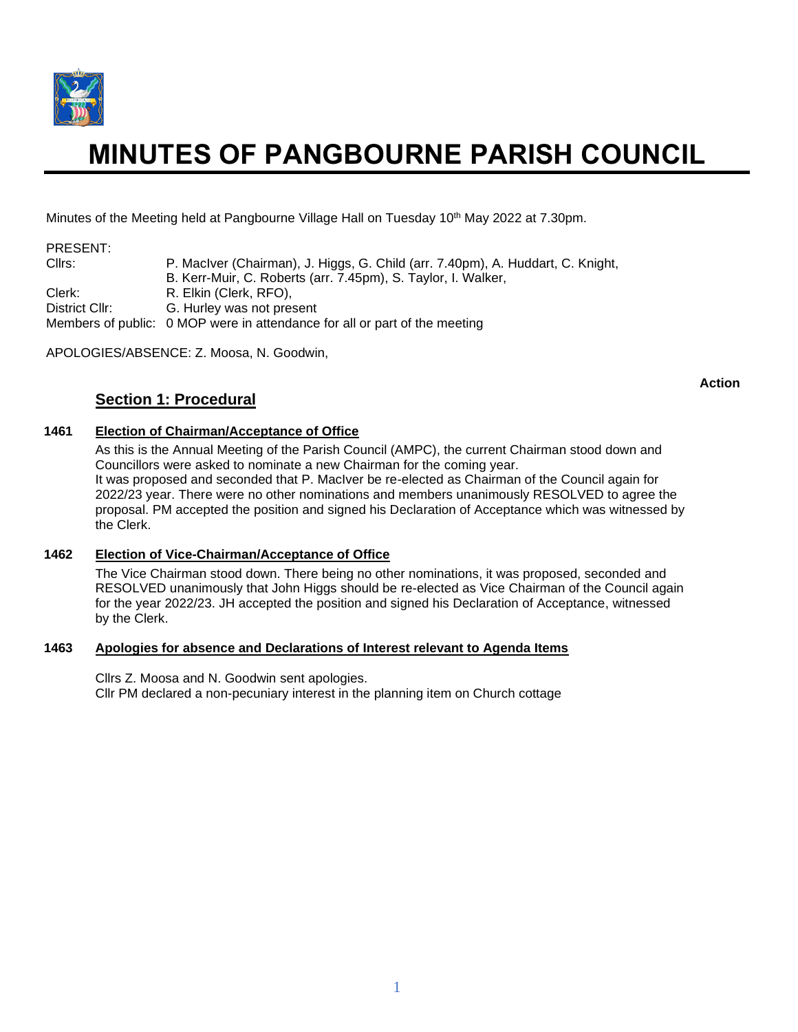

# **MINUTES OF PANGBOURNE PARISH COUNCIL**

Minutes of the Meeting held at Pangbourne Village Hall on Tuesday 10<sup>th</sup> May 2022 at 7.30pm.

## PRESENT:

Cllrs: P. MacIver (Chairman), J. Higgs, G. Child (arr. 7.40pm), A. Huddart, C. Knight, B. Kerr-Muir, C. Roberts (arr. 7.45pm), S. Taylor, I. Walker, Clerk: R. Elkin (Clerk, RFO), District Cllr: G. Hurley was not present Members of public: 0 MOP were in attendance for all or part of the meeting

APOLOGIES/ABSENCE: Z. Moosa, N. Goodwin,

# **Section 1: Procedural**

**Action**

## **1461 Election of Chairman/Acceptance of Office**

As this is the Annual Meeting of the Parish Council (AMPC), the current Chairman stood down and Councillors were asked to nominate a new Chairman for the coming year. It was proposed and seconded that P. MacIver be re-elected as Chairman of the Council again for 2022/23 year. There were no other nominations and members unanimously RESOLVED to agree the proposal. PM accepted the position and signed his Declaration of Acceptance which was witnessed by the Clerk.

#### **1462 Election of Vice-Chairman/Acceptance of Office**

The Vice Chairman stood down. There being no other nominations, it was proposed, seconded and RESOLVED unanimously that John Higgs should be re-elected as Vice Chairman of the Council again for the year 2022/23. JH accepted the position and signed his Declaration of Acceptance, witnessed by the Clerk.

#### **1463 Apologies for absence and Declarations of Interest relevant to Agenda Items**

Cllrs Z. Moosa and N. Goodwin sent apologies. Cllr PM declared a non-pecuniary interest in the planning item on Church cottage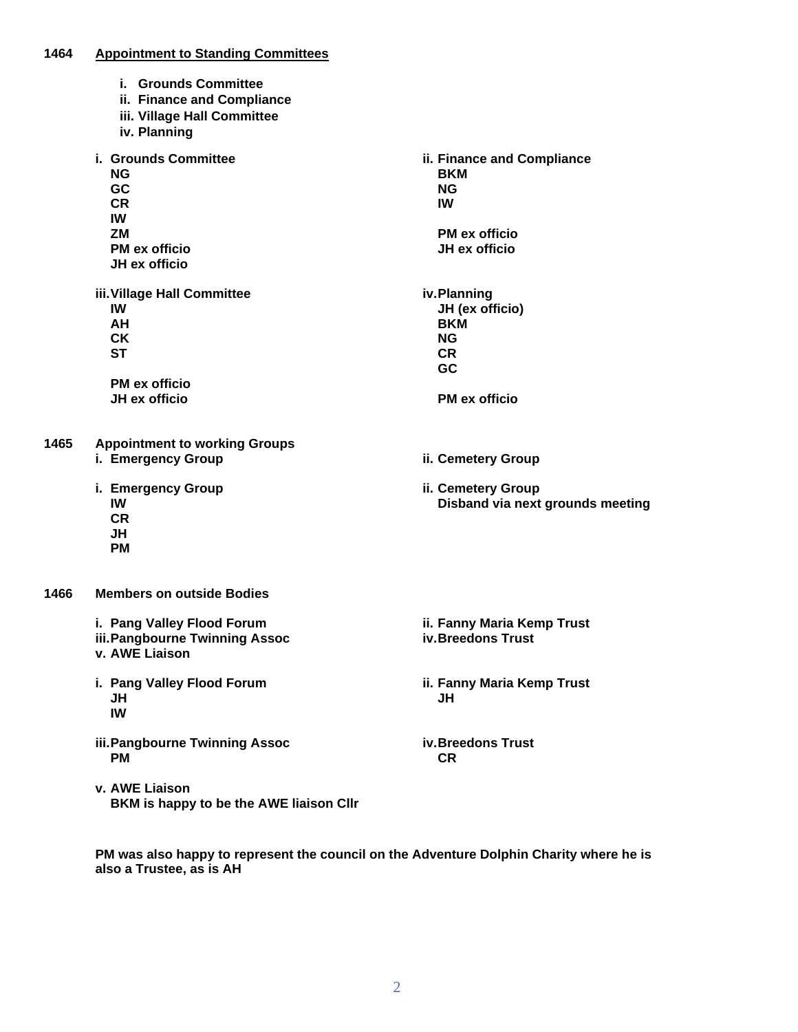#### **1464 Appointment to Standing Committees**

- **i. Grounds Committee**
- **ii. Finance and Compliance**
- **iii. Village Hall Committee**
- **iv. Planning**
- **i. Grounds Committee NG GC CR IW ZM PM ex officio JH ex officio ii. Finance and Compliance BKM NG IW PM ex officio JH ex officio iii.Village Hall Committee IW AH CK ST PM ex officio JH ex officio iv.Planning JH (ex officio) BKM NG CR GC PM ex officio 1465 Appointment to working Groups i. Emergency Group ii. Cemetery Group i. Emergency Group IW CR JH PM ii. Cemetery Group Disband via next grounds meeting 1466 Members on outside Bodies i. Pang Valley Flood Forum iii.Pangbourne Twinning Assoc v. AWE Liaison ii. Fanny Maria Kemp Trust iv.Breedons Trust i. Pang Valley Flood Forum JH IW ii. Fanny Maria Kemp Trust JH iii.Pangbourne Twinning Assoc PM iv.Breedons Trust CR v. AWE Liaison**

**PM was also happy to represent the council on the Adventure Dolphin Charity where he is also a Trustee, as is AH**

**BKM is happy to be the AWE liaison Cllr**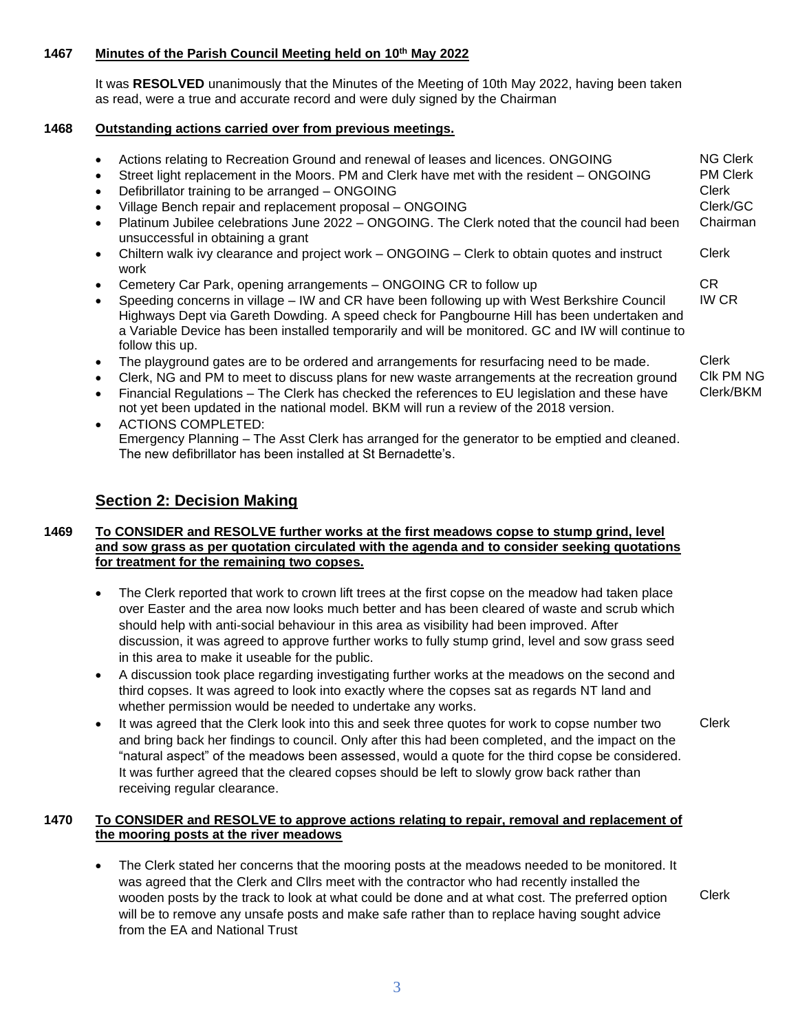# **1467 Minutes of the Parish Council Meeting held on 10 th May 2022**

It was **RESOLVED** unanimously that the Minutes of the Meeting of 10th May 2022, having been taken as read, were a true and accurate record and were duly signed by the Chairman

# **1468 Outstanding actions carried over from previous meetings.**

| Actions relating to Recreation Ground and renewal of leases and licences. ONGOING<br>Street light replacement in the Moors. PM and Clerk have met with the resident - ONGOING<br>Defibrillator training to be arranged - ONGOING                                                                                    | <b>NG Clerk</b><br><b>PM Clerk</b><br>Clerk |
|---------------------------------------------------------------------------------------------------------------------------------------------------------------------------------------------------------------------------------------------------------------------------------------------------------------------|---------------------------------------------|
| Village Bench repair and replacement proposal - ONGOING                                                                                                                                                                                                                                                             | Clerk/GC                                    |
| Platinum Jubilee celebrations June 2022 - ONGOING. The Clerk noted that the council had been<br>unsuccessful in obtaining a grant                                                                                                                                                                                   | Chairman                                    |
| Chiltern walk ivy clearance and project work – ONGOING – Clerk to obtain quotes and instruct<br>work                                                                                                                                                                                                                | Clerk                                       |
| Cemetery Car Park, opening arrangements – ONGOING CR to follow up                                                                                                                                                                                                                                                   | CR.                                         |
| Speeding concerns in village – IW and CR have been following up with West Berkshire Council<br>Highways Dept via Gareth Dowding. A speed check for Pangbourne Hill has been undertaken and<br>a Variable Device has been installed temporarily and will be monitored. GC and IW will continue to<br>follow this up. | <b>IW CR</b>                                |
| The playground gates are to be ordered and arrangements for resurfacing need to be made.<br>Clerk, NG and PM to meet to discuss plans for new waste arrangements at the recreation ground<br>Financial Requisitions – The Clerk has checked the references to FU legislation and these have                         | Clerk<br>CIK PM NG<br>Clerk/BKM             |

- Financial Regulations The Clerk has checked the references to EU legislation and these have not yet been updated in the national model. BKM will run a review of the 2018 version.
- ACTIONS COMPLETED: Emergency Planning – The Asst Clerk has arranged for the generator to be emptied and cleaned. The new defibrillator has been installed at St Bernadette's.

# **Section 2: Decision Making**

## **1469 To CONSIDER and RESOLVE further works at the first meadows copse to stump grind, level and sow grass as per quotation circulated with the agenda and to consider seeking quotations for treatment for the remaining two copses.**

- The Clerk reported that work to crown lift trees at the first copse on the meadow had taken place over Easter and the area now looks much better and has been cleared of waste and scrub which should help with anti-social behaviour in this area as visibility had been improved. After discussion, it was agreed to approve further works to fully stump grind, level and sow grass seed in this area to make it useable for the public.
- A discussion took place regarding investigating further works at the meadows on the second and third copses. It was agreed to look into exactly where the copses sat as regards NT land and whether permission would be needed to undertake any works.
- It was agreed that the Clerk look into this and seek three quotes for work to copse number two and bring back her findings to council. Only after this had been completed, and the impact on the "natural aspect" of the meadows been assessed, would a quote for the third copse be considered. It was further agreed that the cleared copses should be left to slowly grow back rather than receiving regular clearance. Clerk

## **1470 To CONSIDER and RESOLVE to approve actions relating to repair, removal and replacement of the mooring posts at the river meadows**

• The Clerk stated her concerns that the mooring posts at the meadows needed to be monitored. It was agreed that the Clerk and Cllrs meet with the contractor who had recently installed the wooden posts by the track to look at what could be done and at what cost. The preferred option will be to remove any unsafe posts and make safe rather than to replace having sought advice from the EA and National Trust

Clerk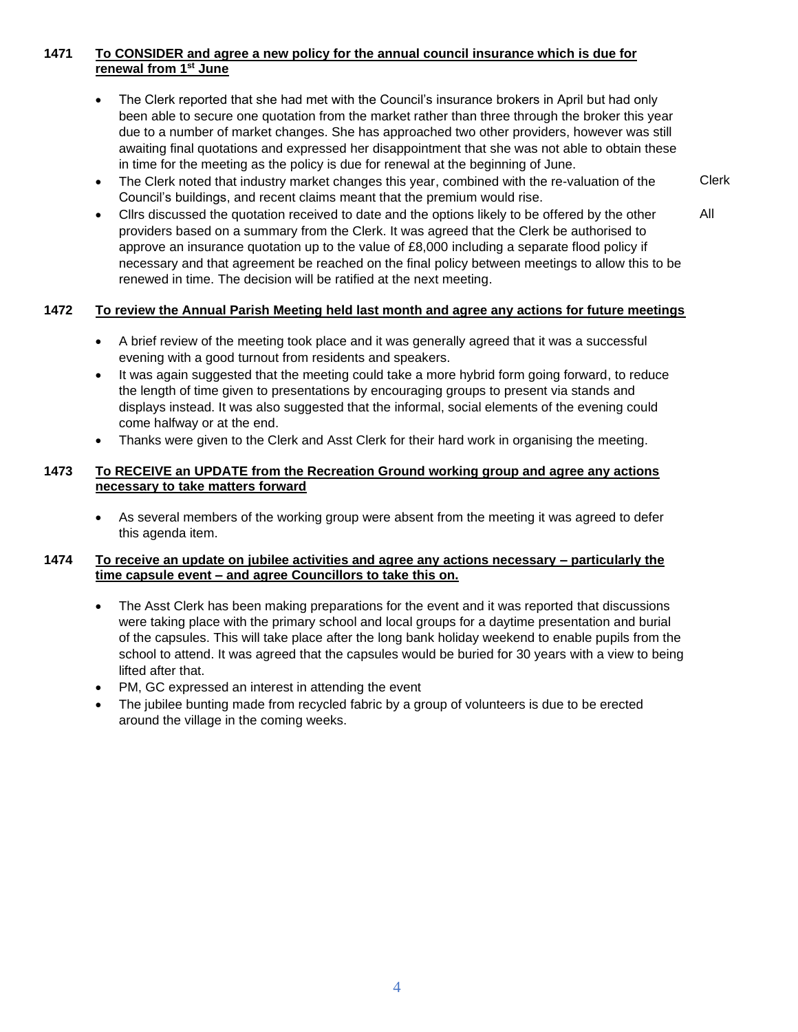## **1471 To CONSIDER and agree a new policy for the annual council insurance which is due for renewal from 1 st June**

- The Clerk reported that she had met with the Council's insurance brokers in April but had only been able to secure one quotation from the market rather than three through the broker this year due to a number of market changes. She has approached two other providers, however was still awaiting final quotations and expressed her disappointment that she was not able to obtain these in time for the meeting as the policy is due for renewal at the beginning of June.
- The Clerk noted that industry market changes this year, combined with the re-valuation of the Council's buildings, and recent claims meant that the premium would rise.
- Cllrs discussed the quotation received to date and the options likely to be offered by the other providers based on a summary from the Clerk. It was agreed that the Clerk be authorised to approve an insurance quotation up to the value of £8,000 including a separate flood policy if necessary and that agreement be reached on the final policy between meetings to allow this to be renewed in time. The decision will be ratified at the next meeting.

#### **1472 To review the Annual Parish Meeting held last month and agree any actions for future meetings**

- A brief review of the meeting took place and it was generally agreed that it was a successful evening with a good turnout from residents and speakers.
- It was again suggested that the meeting could take a more hybrid form going forward, to reduce the length of time given to presentations by encouraging groups to present via stands and displays instead. It was also suggested that the informal, social elements of the evening could come halfway or at the end.
- Thanks were given to the Clerk and Asst Clerk for their hard work in organising the meeting.

## **1473 To RECEIVE an UPDATE from the Recreation Ground working group and agree any actions necessary to take matters forward**

• As several members of the working group were absent from the meeting it was agreed to defer this agenda item.

#### **1474 To receive an update on jubilee activities and agree any actions necessary – particularly the time capsule event – and agree Councillors to take this on.**

- The Asst Clerk has been making preparations for the event and it was reported that discussions were taking place with the primary school and local groups for a daytime presentation and burial of the capsules. This will take place after the long bank holiday weekend to enable pupils from the school to attend. It was agreed that the capsules would be buried for 30 years with a view to being lifted after that.
- PM, GC expressed an interest in attending the event
- The jubilee bunting made from recycled fabric by a group of volunteers is due to be erected around the village in the coming weeks.

Clerk All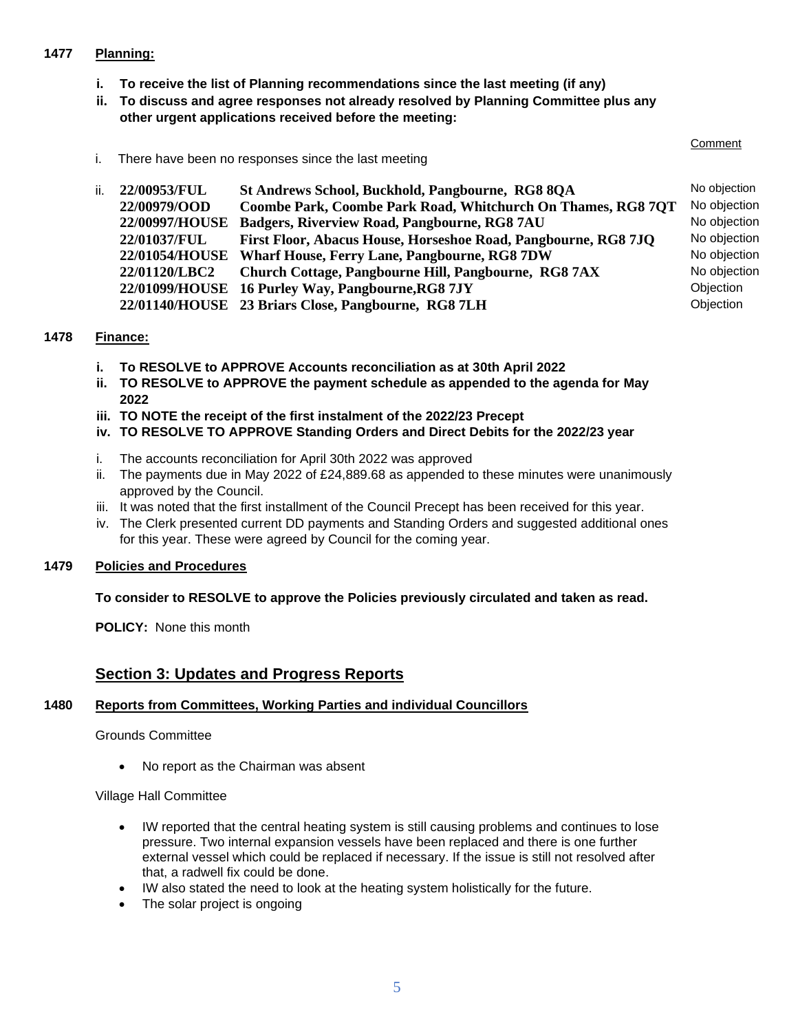# **1477 Planning:**

- **i. To receive the list of Planning recommendations since the last meeting (if any)**
- **ii. To discuss and agree responses not already resolved by Planning Committee plus any other urgent applications received before the meeting:**

#### **Comment**

i. There have been no responses since the last meeting

| ii.<br>St Andrews School, Buckhold, Pangbourne, RG8 8QA<br>22/00953/FUL        |              |
|--------------------------------------------------------------------------------|--------------|
| 22/00979/OOD<br>Coombe Park, Coombe Park Road, Whitchurch On Thames, RG8 7OT   | No objection |
| 22/00997/HOUSE<br>Badgers, Riverview Road, Pangbourne, RG8 7AU                 | No objection |
| First Floor, Abacus House, Horseshoe Road, Pangbourne, RG8 7JQ<br>22/01037/FUL | No objection |
| 22/01054/HOUSE Wharf House, Ferry Lane, Pangbourne, RG8 7DW                    | No objection |
| 22/01120/LBC2<br>Church Cottage, Pangbourne Hill, Pangbourne, RG8 7AX          | No objection |
| 22/01099/HOUSE 16 Purley Way, Pangbourne, RG8 7JY                              | Objection    |
| 22/01140/HOUSE 23 Briars Close, Pangbourne, RG8 7LH                            | Objection    |

#### **1478 Finance:**

- **i. To RESOLVE to APPROVE Accounts reconciliation as at 30th April 2022**
- **ii. TO RESOLVE to APPROVE the payment schedule as appended to the agenda for May 2022**
- **iii. TO NOTE the receipt of the first instalment of the 2022/23 Precept**
- **iv. TO RESOLVE TO APPROVE Standing Orders and Direct Debits for the 2022/23 year**
- i. The accounts reconciliation for April 30th 2022 was approved
- ii. The payments due in May 2022 of £24,889.68 as appended to these minutes were unanimously approved by the Council.
- iii. It was noted that the first installment of the Council Precept has been received for this year.
- iv. The Clerk presented current DD payments and Standing Orders and suggested additional ones for this year. These were agreed by Council for the coming year.

# **1479 Policies and Procedures**

#### **To consider to RESOLVE to approve the Policies previously circulated and taken as read.**

**POLICY:** None this month

# **Section 3: Updates and Progress Reports**

#### **1480 Reports from Committees, Working Parties and individual Councillors**

#### Grounds Committee

• No report as the Chairman was absent

#### Village Hall Committee

- IW reported that the central heating system is still causing problems and continues to lose pressure. Two internal expansion vessels have been replaced and there is one further external vessel which could be replaced if necessary. If the issue is still not resolved after that, a radwell fix could be done.
- IW also stated the need to look at the heating system holistically for the future.
- The solar project is ongoing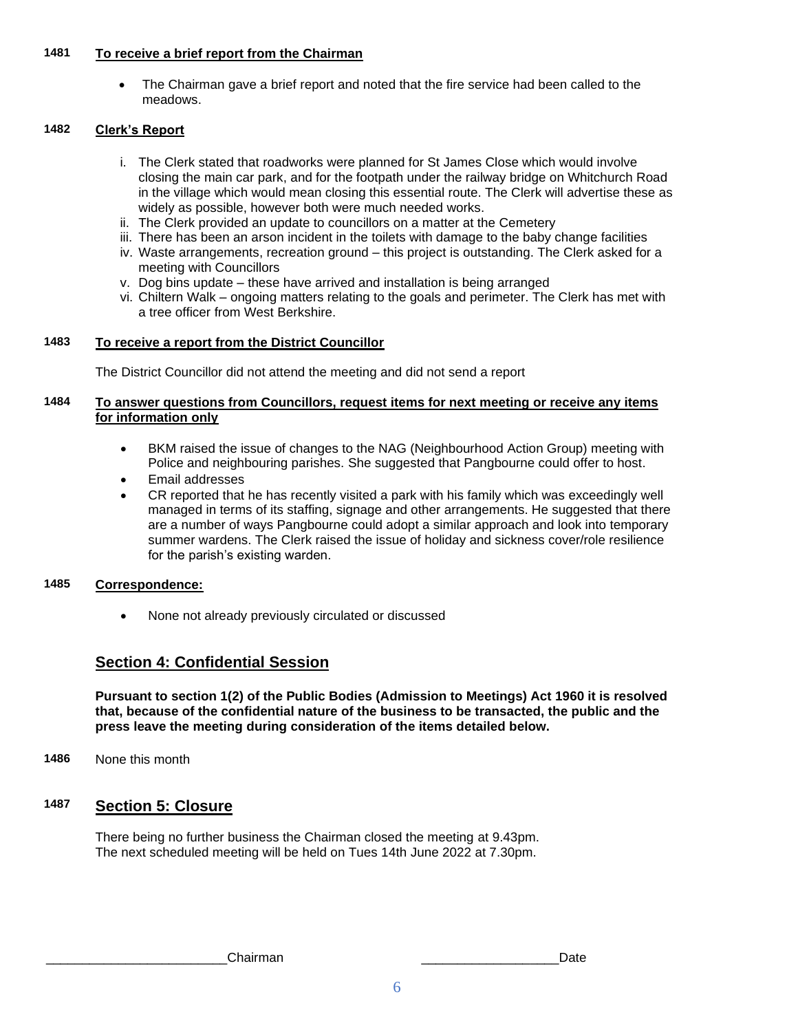# **1481 To receive a brief report from the Chairman**

• The Chairman gave a brief report and noted that the fire service had been called to the meadows.

## **1482 Clerk's Report**

- i. The Clerk stated that roadworks were planned for St James Close which would involve closing the main car park, and for the footpath under the railway bridge on Whitchurch Road in the village which would mean closing this essential route. The Clerk will advertise these as widely as possible, however both were much needed works.
- ii. The Clerk provided an update to councillors on a matter at the Cemetery
- iii. There has been an arson incident in the toilets with damage to the baby change facilities
- iv. Waste arrangements, recreation ground this project is outstanding. The Clerk asked for a meeting with Councillors
- v. Dog bins update these have arrived and installation is being arranged
- vi. Chiltern Walk ongoing matters relating to the goals and perimeter. The Clerk has met with a tree officer from West Berkshire.

#### **1483 To receive a report from the District Councillor**

The District Councillor did not attend the meeting and did not send a report

## **1484 To answer questions from Councillors, request items for next meeting or receive any items for information only**

- BKM raised the issue of changes to the NAG (Neighbourhood Action Group) meeting with Police and neighbouring parishes. She suggested that Pangbourne could offer to host.
- Email addresses
- CR reported that he has recently visited a park with his family which was exceedingly well managed in terms of its staffing, signage and other arrangements. He suggested that there are a number of ways Pangbourne could adopt a similar approach and look into temporary summer wardens. The Clerk raised the issue of holiday and sickness cover/role resilience for the parish's existing warden.

#### **1485 Correspondence:**

• None not already previously circulated or discussed

# **Section 4: Confidential Session**

**Pursuant to section 1(2) of the Public Bodies (Admission to Meetings) Act 1960 it is resolved that, because of the confidential nature of the business to be transacted, the public and the press leave the meeting during consideration of the items detailed below.**

**1486** None this month

# **1487 Section 5: Closure**

There being no further business the Chairman closed the meeting at 9.43pm. The next scheduled meeting will be held on Tues 14th June 2022 at 7.30pm.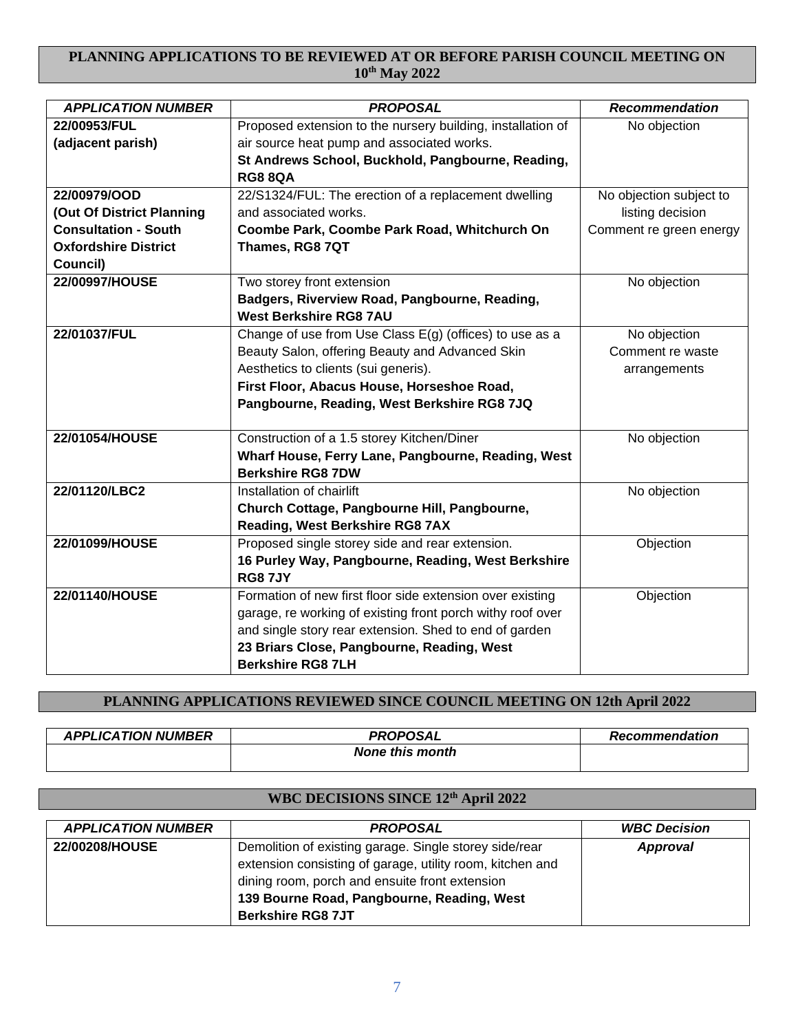# **PLANNING APPLICATIONS TO BE REVIEWED AT OR BEFORE PARISH COUNCIL MEETING ON 10th May 2022**

| <b>APPLICATION NUMBER</b>   | <b>PROPOSAL</b>                                                                | Recommendation          |
|-----------------------------|--------------------------------------------------------------------------------|-------------------------|
| 22/00953/FUL                | Proposed extension to the nursery building, installation of                    | No objection            |
| (adjacent parish)           | air source heat pump and associated works.                                     |                         |
|                             | St Andrews School, Buckhold, Pangbourne, Reading,                              |                         |
|                             | <b>RG8 8QA</b>                                                                 |                         |
| 22/00979/OOD                | 22/S1324/FUL: The erection of a replacement dwelling                           | No objection subject to |
| (Out Of District Planning   | and associated works.                                                          | listing decision        |
| <b>Consultation - South</b> | Coombe Park, Coombe Park Road, Whitchurch On                                   | Comment re green energy |
| <b>Oxfordshire District</b> | Thames, RG8 7QT                                                                |                         |
| Council)                    |                                                                                |                         |
| 22/00997/HOUSE              | Two storey front extension                                                     | No objection            |
|                             | Badgers, Riverview Road, Pangbourne, Reading,<br><b>West Berkshire RG8 7AU</b> |                         |
| 22/01037/FUL                | Change of use from Use Class E(g) (offices) to use as a                        | No objection            |
|                             | Beauty Salon, offering Beauty and Advanced Skin                                | Comment re waste        |
|                             | Aesthetics to clients (sui generis).                                           | arrangements            |
|                             | First Floor, Abacus House, Horseshoe Road,                                     |                         |
|                             | Pangbourne, Reading, West Berkshire RG8 7JQ                                    |                         |
|                             |                                                                                |                         |
| 22/01054/HOUSE              | Construction of a 1.5 storey Kitchen/Diner                                     | No objection            |
|                             | Wharf House, Ferry Lane, Pangbourne, Reading, West                             |                         |
|                             | <b>Berkshire RG8 7DW</b>                                                       |                         |
| 22/01120/LBC2               | Installation of chairlift                                                      | No objection            |
|                             | Church Cottage, Pangbourne Hill, Pangbourne,                                   |                         |
|                             | Reading, West Berkshire RG8 7AX                                                |                         |
| 22/01099/HOUSE              | Proposed single storey side and rear extension.                                | Objection               |
|                             | 16 Purley Way, Pangbourne, Reading, West Berkshire                             |                         |
|                             | <b>RG87JY</b>                                                                  |                         |
| 22/01140/HOUSE              | Formation of new first floor side extension over existing                      | Objection               |
|                             | garage, re working of existing front porch withy roof over                     |                         |
|                             | and single story rear extension. Shed to end of garden                         |                         |
|                             | 23 Briars Close, Pangbourne, Reading, West                                     |                         |
|                             | <b>Berkshire RG8 7LH</b>                                                       |                         |

# **PLANNING APPLICATIONS REVIEWED SINCE COUNCIL MEETING ON 12th April 2022**

| <b>APPLICATION NUMBER</b> | <b>PROPOSAL</b>        | <b>Recommendation</b> |
|---------------------------|------------------------|-----------------------|
|                           | <b>None this month</b> |                       |

# **WBC DECISIONS SINCE 12th April 2022**

| <b>APPLICATION NUMBER</b> | <b>PROPOSAL</b>                                           | <b>WBC Decision</b> |
|---------------------------|-----------------------------------------------------------|---------------------|
| 22/00208/HOUSE            | Demolition of existing garage. Single storey side/rear    | Approval            |
|                           | extension consisting of garage, utility room, kitchen and |                     |
|                           | dining room, porch and ensuite front extension            |                     |
|                           | 139 Bourne Road, Pangbourne, Reading, West                |                     |
|                           | <b>Berkshire RG8 7JT</b>                                  |                     |